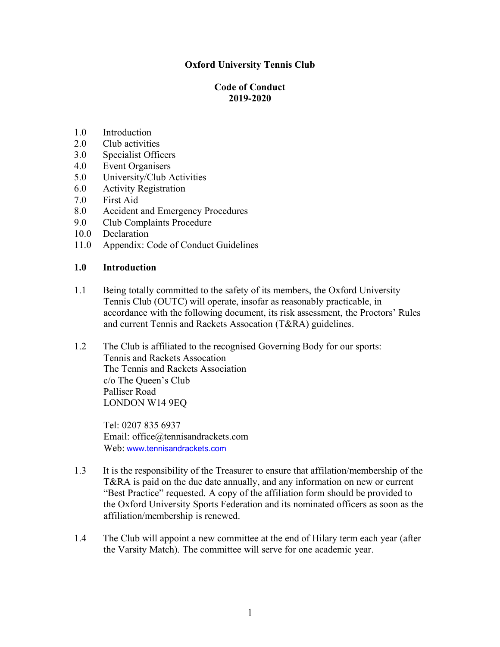# **Oxford University Tennis Club**

## **Code of Conduct 2019-2020**

- 1.0 Introduction
- 2.0 Club activities
- 3.0 Specialist Officers
- 4.0 Event Organisers
- 5.0 University/Club Activities
- 6.0 Activity Registration
- 7.0 First Aid
- 8.0 Accident and Emergency Procedures
- 9.0 Club Complaints Procedure
- 10.0 Declaration
- 11.0 Appendix: Code of Conduct Guidelines

### **1.0 Introduction**

- 1.1 Being totally committed to the safety of its members, the Oxford University Tennis Club (OUTC) will operate, insofar as reasonably practicable, in accordance with the following document, its risk assessment, the Proctors' Rules and current Tennis and Rackets Assocation (T&RA) guidelines.
- 1.2 The Club is affiliated to the recognised Governing Body for our sports: Tennis and Rackets Assocation The Tennis and Rackets Association c/o The Queen's Club Palliser Road LONDON W14 9EQ

Tel: 0207 835 6937 Email: office@tennisandrackets.com Web: www.tennisandrackets.com

- 1.3 It is the responsibility of the Treasurer to ensure that affilation/membership of the T&RA is paid on the due date annually, and any information on new or current "Best Practice" requested. A copy of the affiliation form should be provided to the Oxford University Sports Federation and its nominated officers as soon as the affiliation/membership is renewed.
- 1.4 The Club will appoint a new committee at the end of Hilary term each year (after the Varsity Match). The committee will serve for one academic year.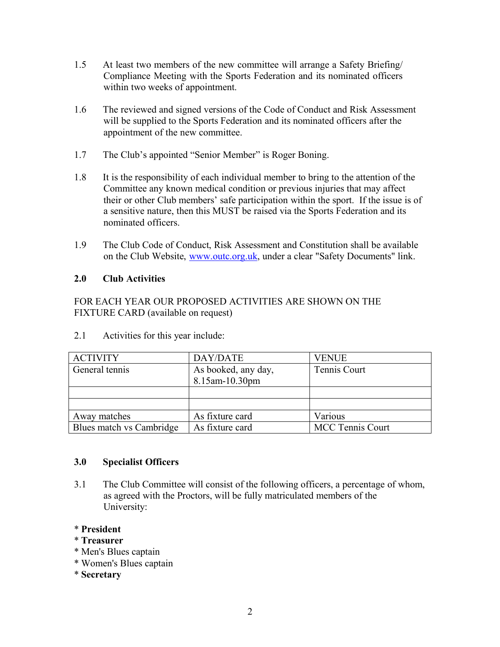- 1.5 At least two members of the new committee will arrange a Safety Briefing/ Compliance Meeting with the Sports Federation and its nominated officers within two weeks of appointment.
- 1.6 The reviewed and signed versions of the Code of Conduct and Risk Assessment will be supplied to the Sports Federation and its nominated officers after the appointment of the new committee.
- 1.7 The Club's appointed "Senior Member" is Roger Boning.
- 1.8 It is the responsibility of each individual member to bring to the attention of the Committee any known medical condition or previous injuries that may affect their or other Club members' safe participation within the sport. If the issue is of a sensitive nature, then this MUST be raised via the Sports Federation and its nominated officers.
- 1.9 The Club Code of Conduct, Risk Assessment and Constitution shall be available on the Club Website, [www.outc.org.uk,](http://www.outc.org.uk/) under a clear "Safety Documents" link.

## **2.0 Club Activities**

FOR EACH YEAR OUR PROPOSED ACTIVITIES ARE SHOWN ON THE FIXTURE CARD (available on request)

| <b>ACTIVITY</b>          | DAY/DATE                              | <b>VENUE</b>            |
|--------------------------|---------------------------------------|-------------------------|
| General tennis           | As booked, any day,<br>8.15am-10.30pm | Tennis Court            |
|                          |                                       |                         |
|                          |                                       |                         |
| Away matches             | As fixture card                       | Various                 |
| Blues match vs Cambridge | As fixture card                       | <b>MCC Tennis Court</b> |

2.1 Activities for this year include:

### **3.0 Specialist Officers**

3.1 The Club Committee will consist of the following officers, a percentage of whom, as agreed with the Proctors, will be fully matriculated members of the University:

### \* **President**

- \* **Treasurer**
- \* Men's Blues captain
- \* Women's Blues captain
- \* **Secretary**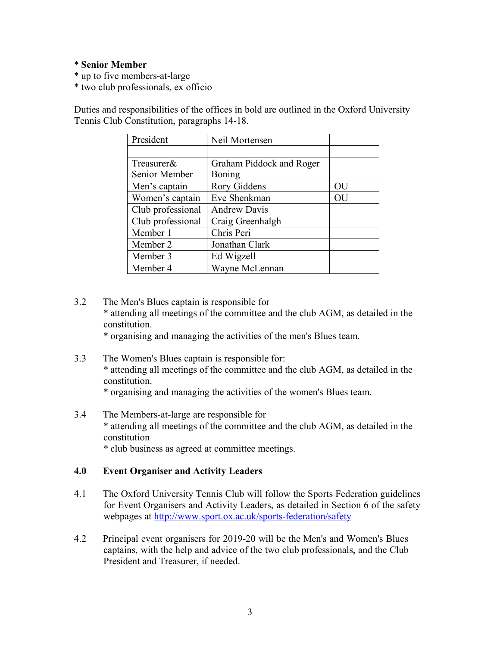#### \* **Senior Member**

\* up to five members-at-large

\* two club professionals, ex officio

Duties and responsibilities of the offices in bold are outlined in the Oxford University Tennis Club Constitution, paragraphs 14-18.

| President         | Neil Mortensen           |    |
|-------------------|--------------------------|----|
|                   |                          |    |
| Treasurer&        | Graham Piddock and Roger |    |
| Senior Member     | Boning                   |    |
| Men's captain     | <b>Rory Giddens</b>      | OU |
| Women's captain   | Eve Shenkman             | OU |
| Club professional | <b>Andrew Davis</b>      |    |
| Club professional | Craig Greenhalgh         |    |
| Member 1          | Chris Peri               |    |
| Member 2          | Jonathan Clark           |    |
| Member 3          | Ed Wigzell               |    |
| Member 4          | Wayne McLennan           |    |

3.2 The Men's Blues captain is responsible for \* attending all meetings of the committee and the club AGM, as detailed in the constitution.

\* organising and managing the activities of the men's Blues team.

3.3 The Women's Blues captain is responsible for: \* attending all meetings of the committee and the club AGM, as detailed in the constitution.

\* organising and managing the activities of the women's Blues team.

3.4 The Members-at-large are responsible for \* attending all meetings of the committee and the club AGM, as detailed in the constitution \* club business as agreed at committee meetings.

### **4.0 Event Organiser and Activity Leaders**

- 4.1 The Oxford University Tennis Club will follow the Sports Federation guidelines for Event Organisers and Activity Leaders, as detailed in Section 6 of the safety webpages at <http://www.sport.ox.ac.uk/sports-federation/safety>
- 4.2 Principal event organisers for 2019-20 will be the Men's and Women's Blues captains, with the help and advice of the two club professionals, and the Club President and Treasurer, if needed.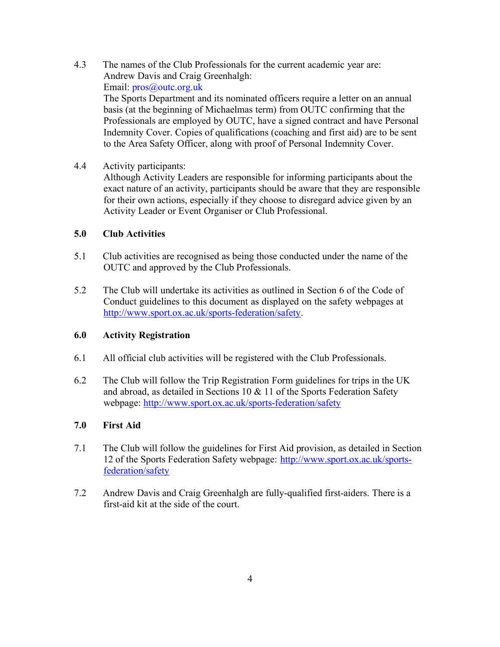4.3 The names of the Club Professionals for the current academic year are: Andrew Davis and Craig Greenhalgh: Email: pros@outc.org.uk

The Sports Department and its nominated officers require a letter on an annual basis (at the beginning of Michaelmas term) from OUTC confirming that the Professionals are employed by OUTC, have a signed contract and have Personal Indemnity Cover. Copies of qualifications (coaching and first aid) are to be sent to the Area Safety Officer, along with proof of Personal Indemnity Cover.

4.4 Activity participants:

Although Activity Leaders are responsible for informing participants about the exact nature of an activity, participants should be aware that they are responsible for their own actions, especially if they choose to disregard advice given by an Activity Leader or Event Organiser or Club Professional.

## **5.0 Club Activities**

- 5.1 Club activities are recognised as being those conducted under the name of the OUTC and approved by the Club Professionals.
- 5.2 The Club will undertake its activities as outlined in Section 6 of the Code of Conduct guidelines to this document as displayed on the safety webpages at [http://www.sport.ox.ac.uk/sports-federation/safety.](http://www.sport.ox.ac.uk/sports-federation/safety)

# **6.0 Activity Registration**

- 6.1 All official club activities will be registered with the Club Professionals.
- 6.2 The Club will follow the Trip Registration Form guidelines for trips in the UK and abroad, as detailed in Sections 10 & 11 of the Sports Federation Safety webpage: <http://www.sport.ox.ac.uk/sports-federation/safety>

# **7.0 First Aid**

- 7.1 The Club will follow the guidelines for First Aid provision, as detailed in Section 12 of the Sports Federation Safety webpage: [http://www.sport.ox.ac.uk/sports](http://www.sport.ox.ac.uk/sports-)federation/safety
- 7.2 Andrew Davis and Craig Greenhalgh are fully-qualified first-aiders. There is a first-aid kit at the side of the court.